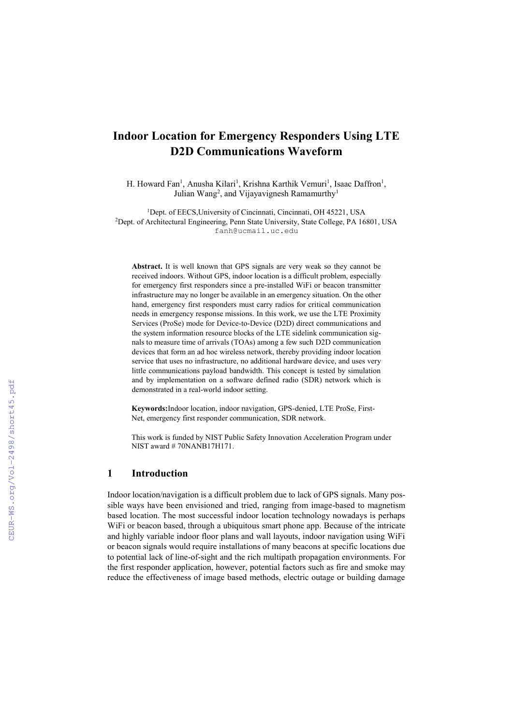# **Indoor Location for Emergency Responders Using LTE D2D Communications Waveform**

H. Howard Fan<sup>1</sup>, Anusha Kilari<sup>1</sup>, Krishna Karthik Vemuri<sup>1</sup>, Isaac Daffron<sup>1</sup>, Julian Wang<sup>2</sup>, and Vijayavignesh Ramamurthy<sup>1</sup>

<sup>1</sup>Dept. of EECS, University of Cincinnati, Cincinnati, OH 45221, USA <sup>2</sup>Dept. of Architectural Engineering, Penn State University, State College, PA 16801, USA fanh@ucmail.uc.edu

**Abstract.** It is well known that GPS signals are very weak so they cannot be received indoors. Without GPS, indoor location is a difficult problem, especially for emergency first responders since a pre-installed WiFi or beacon transmitter infrastructure may no longer be available in an emergency situation. On the other hand, emergency first responders must carry radios for critical communication needs in emergency response missions. In this work, we use the LTE Proximity Services (ProSe) mode for Device-to-Device (D2D) direct communications and the system information resource blocks of the LTE sidelink communication signals to measure time of arrivals (TOAs) among a few such D2D communication devices that form an ad hoc wireless network, thereby providing indoor location service that uses no infrastructure, no additional hardware device, and uses very little communications payload bandwidth. This concept is tested by simulation and by implementation on a software defined radio (SDR) network which is demonstrated in a real-world indoor setting.

**Keywords:**Indoor location, indoor navigation, GPS-denied, LTE ProSe, First-Net, emergency first responder communication, SDR network.

This work is funded by NIST Public Safety Innovation Acceleration Program under NIST award # 70NANB17H171.

#### **1 Introduction**

Indoor location/navigation is a difficult problem due to lack of GPS signals. Many possible ways have been envisioned and tried, ranging from image-based to magnetism based location. The most successful indoor location technology nowadays is perhaps WiFi or beacon based, through a ubiquitous smart phone app. Because of the intricate and highly variable indoor floor plans and wall layouts, indoor navigation using WiFi or beacon signals would require installations of many beacons at specific locations due to potential lack of line-of-sight and the rich multipath propagation environments. For the first responder application, however, potential factors such as fire and smoke may reduce the effectiveness of image based methods, electric outage or building damage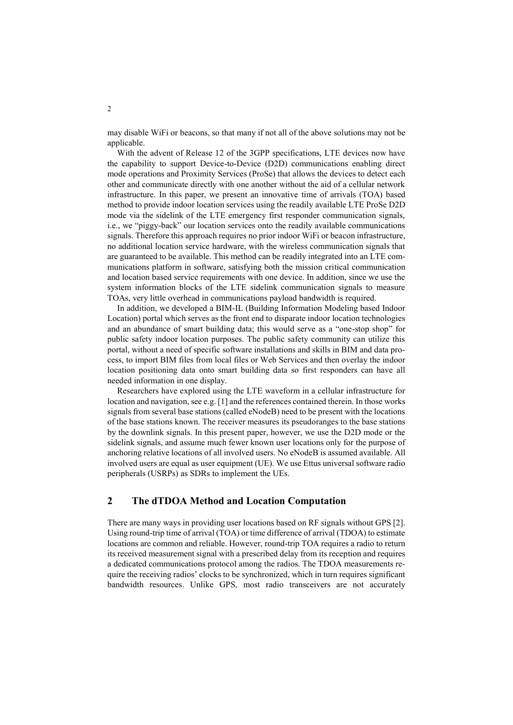may disable WiFi or beacons, so that many if not all of the above solutions may not be applicable.

With the advent of Release 12 of the 3GPP specifications, LTE devices now have the capability to support Device-to-Device (D2D) communications enabling direct mode operations and Proximity Services (ProSe) that allows the devices to detect each other and communicate directly with one another without the aid of a cellular network infrastructure. In this paper, we present an innovative time of arrivals (TOA) based method to provide indoor location services using the readily available LTE ProSe D2D mode via the sidelink of the LTE emergency first responder communication signals, i.e., we "piggy-back" our location services onto the readily available communications signals. Therefore this approach requires no prior indoor WiFi or beacon infrastructure, no additional location service hardware, with the wireless communication signals that are guaranteed to be available. This method can be readily integrated into an LTE communications platform in software, satisfying both the mission critical communication and location based service requirements with one device. In addition, since we use the system information blocks of the LTE sidelink communication signals to measure TOAs, very little overhead in communications payload bandwidth is required.

In addition, we developed a BIM-IL (Building Information Modeling based Indoor Location) portal which serves as the front end to disparate indoor location technologies and an abundance of smart building data; this would serve as a "one-stop shop" for public safety indoor location purposes. The public safety community can utilize this portal, without a need of specific software installations and skills in BIM and data process, to import BIM files from local files or Web Services and then overlay the indoor location positioning data onto smart building data so first responders can have all needed information in one display.

Researchers have explored using the LTE waveform in a cellular infrastructure for location and navigation, see e.g. [1] and the references contained therein. In those works signals from several base stations (called eNodeB) need to be present with the locations of the base stations known. The receiver measures its pseudoranges to the base stations by the downlink signals. In this present paper, however, we use the D2D mode or the sidelink signals, and assume much fewer known user locations only for the purpose of anchoring relative locations of all involved users. No eNodeB is assumed available. All involved users are equal as user equipment (UE). We use Ettus universal software radio peripherals (USRPs) as SDRs to implement the UEs.

#### **2 The dTDOA Method and Location Computation**

There are many ways in providing user locations based on RF signals without GPS [2]. Using round-trip time of arrival (TOA) or time difference of arrival (TDOA) to estimate locations are common and reliable. However, round-trip TOA requires a radio to return its received measurement signal with a prescribed delay from its reception and requires a dedicated communications protocol among the radios. The TDOA measurements require the receiving radios' clocks to be synchronized, which in turn requires significant bandwidth resources. Unlike GPS, most radio transceivers are not accurately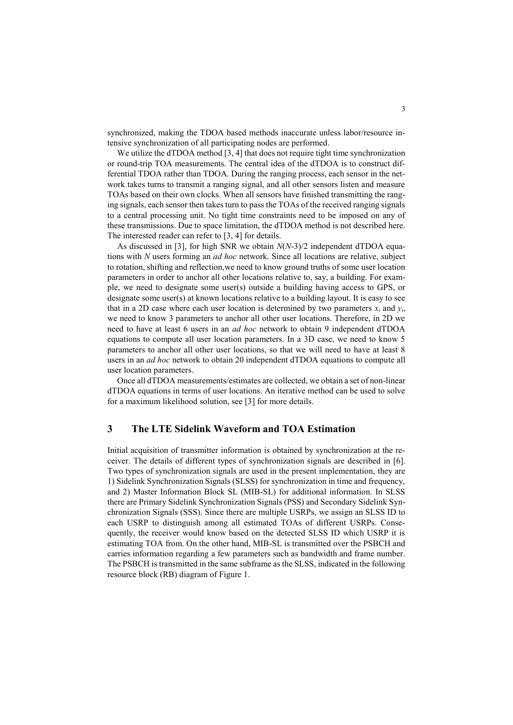synchronized, making the TDOA based methods inaccurate unless labor/resource intensive synchronization of all participating nodes are performed.

We utilize the dTDOA method [3, 4] that does not require tight time synchronization or round-trip TOA measurements. The central idea of the dTDOA is to construct differential TDOA rather than TDOA. During the ranging process, each sensor in the network takes turns to transmit a ranging signal, and all other sensors listen and measure TOAs based on their own clocks. When all sensors have finished transmitting the ranging signals, each sensor then takes turn to pass the TOAs of the received ranging signals to a central processing unit. No tight time constraints need to be imposed on any of these transmissions. Due to space limitation, the dTDOA method is not described here. The interested reader can refer to [3, 4] for details.

As discussed in [3], for high SNR we obtain *N*(*N*-3)/2 independent dTDOA equations with *N* users forming an *ad hoc* network. Since all locations are relative, subject to rotation, shifting and reflection,we need to know ground truths of some user location parameters in order to anchor all other locations relative to, say, a building. For example, we need to designate some user(s) outside a building having access to GPS, or designate some user(s) at known locations relative to a building layout. It is easy to see that in a 2D case where each user location is determined by two parameters  $x_i$  and  $y_i$ , we need to know 3 parameters to anchor all other user locations. Therefore, in 2D we need to have at least 6 users in an *ad hoc* network to obtain 9 independent dTDOA equations to compute all user location parameters. In a 3D case, we need to know 5 parameters to anchor all other user locations, so that we will need to have at least 8 users in an *ad hoc* network to obtain 20 independent dTDOA equations to compute all user location parameters.

Once all dTDOA measurements/estimates are collected, we obtain a set of non-linear dTDOA equations in terms of user locations. An iterative method can be used to solve for a maximum likelihood solution, see [3] for more details.

# **3 The LTE Sidelink Waveform and TOA Estimation**

Initial acquisition of transmitter information is obtained by synchronization at the receiver. The details of different types of synchronization signals are described in [6]. Two types of synchronization signals are used in the present implementation, they are 1) Sidelink Synchronization Signals (SLSS) for synchronization in time and frequency, and 2) Master Information Block SL (MIB-SL) for additional information. In SLSS there are Primary Sidelink Synchronization Signals (PSS) and Secondary Sidelink Synchronization Signals (SSS). Since there are multiple USRPs, we assign an SLSS ID to each USRP to distinguish among all estimated TOAs of different USRPs. Consequently, the receiver would know based on the detected SLSS ID which USRP it is estimating TOA from. On the other hand, MIB-SL is transmitted over the PSBCH and carries information regarding a few parameters such as bandwidth and frame number. The PSBCH is transmitted in the same subframe as the SLSS, indicated in the following resource block (RB) diagram of Figure 1.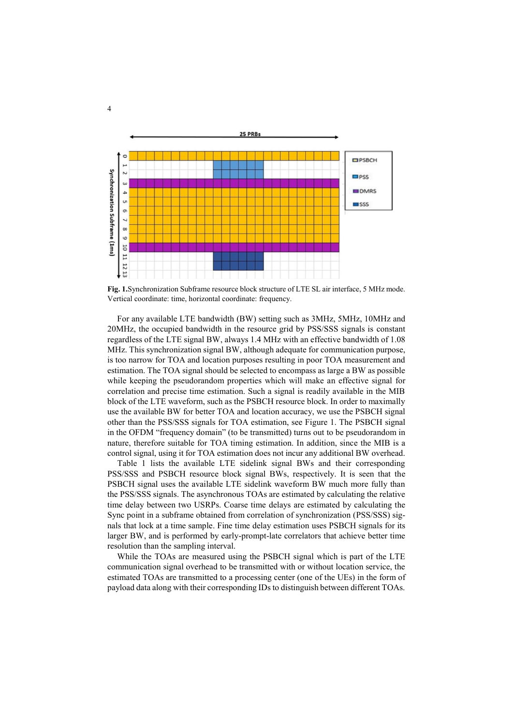

**Fig. 1.**Synchronization Subframe resource block structure of LTE SL air interface, 5 MHz mode. Vertical coordinate: time, horizontal coordinate: frequency.

For any available LTE bandwidth (BW) setting such as 3MHz, 5MHz, 10MHz and 20MHz, the occupied bandwidth in the resource grid by PSS/SSS signals is constant regardless of the LTE signal BW, always 1.4 MHz with an effective bandwidth of 1.08 MHz. This synchronization signal BW, although adequate for communication purpose, is too narrow for TOA and location purposes resulting in poor TOA measurement and estimation. The TOA signal should be selected to encompass as large a BW as possible while keeping the pseudorandom properties which will make an effective signal for correlation and precise time estimation. Such a signal is readily available in the MIB block of the LTE waveform, such as the PSBCH resource block. In order to maximally use the available BW for better TOA and location accuracy, we use the PSBCH signal other than the PSS/SSS signals for TOA estimation, see Figure 1. The PSBCH signal in the OFDM "frequency domain" (to be transmitted) turns out to be pseudorandom in nature, therefore suitable for TOA timing estimation. In addition, since the MIB is a control signal, using it for TOA estimation does not incur any additional BW overhead.

Table 1 lists the available LTE sidelink signal BWs and their corresponding PSS/SSS and PSBCH resource block signal BWs, respectively. It is seen that the PSBCH signal uses the available LTE sidelink waveform BW much more fully than the PSS/SSS signals. The asynchronous TOAs are estimated by calculating the relative time delay between two USRPs. Coarse time delays are estimated by calculating the Sync point in a subframe obtained from correlation of synchronization (PSS/SSS) signals that lock at a time sample. Fine time delay estimation uses PSBCH signals for its larger BW, and is performed by early-prompt-late correlators that achieve better time resolution than the sampling interval.

While the TOAs are measured using the PSBCH signal which is part of the LTE communication signal overhead to be transmitted with or without location service, the estimated TOAs are transmitted to a processing center (one of the UEs) in the form of payload data along with their corresponding IDs to distinguish between different TOAs.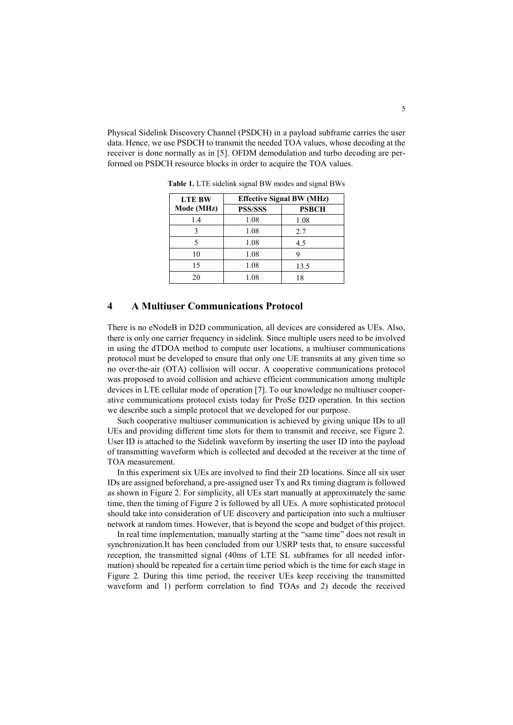Physical Sidelink Discovery Channel (PSDCH) in a payload subframe carries the user data. Hence, we use PSDCH to transmit the needed TOA values, whose decoding at the receiver is done normally as in [5]. OFDM demodulation and turbo decoding are performed on PSDCH resource blocks in order to acquire the TOA values.

| <b>LTE BW</b><br>Mode (MHz) | <b>Effective Signal BW (MHz)</b> |              |
|-----------------------------|----------------------------------|--------------|
|                             | <b>PSS/SSS</b>                   | <b>PSBCH</b> |
| 1.4                         | 1.08                             | 1.08         |
|                             | 1.08                             | 2.7          |
|                             | 1.08                             | 4.5          |
| 10                          | 1.08                             |              |
| 15                          | 1.08                             | 13.5         |
| 20                          | 1.08                             | 18           |

**Table 1.** LTE sidelink signal BW modes and signal BWs

#### **4 A Multiuser Communications Protocol**

There is no eNodeB in D2D communication, all devices are considered as UEs. Also, there is only one carrier frequency in sidelink. Since multiple users need to be involved in using the dTDOA method to compute user locations, a multiuser communications protocol must be developed to ensure that only one UE transmits at any given time so no over-the-air (OTA) collision will occur. A cooperative communications protocol was proposed to avoid collision and achieve efficient communication among multiple devices in LTE cellular mode of operation [7]. To our knowledge no multiuser cooperative communications protocol exists today for ProSe D2D operation. In this section we describe such a simple protocol that we developed for our purpose.

Such cooperative multiuser communication is achieved by giving unique IDs to all UEs and providing different time slots for them to transmit and receive, see Figure 2. User ID is attached to the Sidelink waveform by inserting the user ID into the payload of transmitting waveform which is collected and decoded at the receiver at the time of TOA measurement.

In this experiment six UEs are involved to find their 2D locations. Since all six user IDs are assigned beforehand, a pre-assigned user Tx and Rx timing diagram is followed as shown in Figure 2. For simplicity, all UEs start manually at approximately the same time, then the timing of Figure 2 is followed by all UEs. A more sophisticated protocol should take into consideration of UE discovery and participation into such a multiuser network at random times. However, that is beyond the scope and budget of this project.

In real time implementation, manually starting at the "same time" does not result in synchronization.It has been concluded from our USRP tests that, to ensure successful reception, the transmitted signal (40ms of LTE SL subframes for all needed information) should be repeated for a certain time period which is the time for each stage in Figure 2. During this time period, the receiver UEs keep receiving the transmitted waveform and 1) perform correlation to find TOAs and 2) decode the received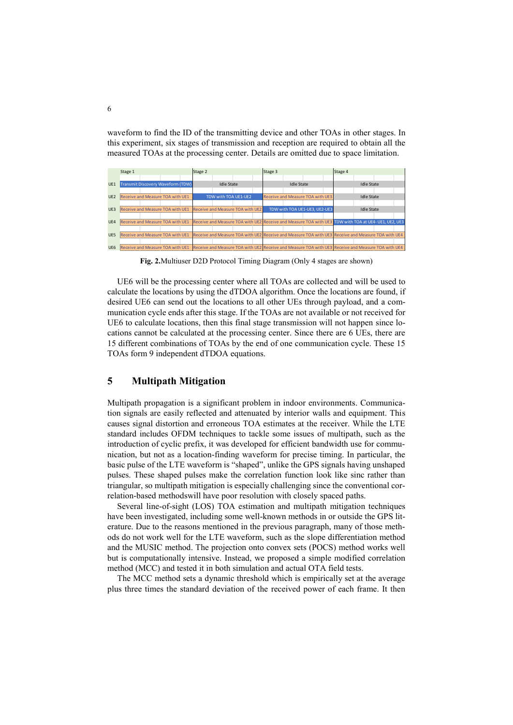waveform to find the ID of the transmitting device and other TOAs in other stages. In this experiment, six stages of transmission and reception are required to obtain all the measured TOAs at the processing center. Details are omitted due to space limitation.



**Fig. 2.**Multiuser D2D Protocol Timing Diagram (Only 4 stages are shown)

UE6 will be the processing center where all TOAs are collected and will be used to calculate the locations by using the dTDOA algorithm. Once the locations are found, if desired UE6 can send out the locations to all other UEs through payload, and a communication cycle ends after this stage. If the TOAs are not available or not received for UE6 to calculate locations, then this final stage transmission will not happen since locations cannot be calculated at the processing center. Since there are 6 UEs, there are 15 different combinations of TOAs by the end of one communication cycle. These 15 TOAs form 9 independent dTDOA equations.

# **5 Multipath Mitigation**

Multipath propagation is a significant problem in indoor environments. Communication signals are easily reflected and attenuated by interior walls and equipment. This causes signal distortion and erroneous TOA estimates at the receiver. While the LTE standard includes OFDM techniques to tackle some issues of multipath, such as the introduction of cyclic prefix, it was developed for efficient bandwidth use for communication, but not as a location-finding waveform for precise timing. In particular, the basic pulse of the LTE waveform is "shaped", unlike the GPS signals having unshaped pulses. These shaped pulses make the correlation function look like sinc rather than triangular, so multipath mitigation is especially challenging since the conventional correlation-based methodswill have poor resolution with closely spaced paths.

Several line-of-sight (LOS) TOA estimation and multipath mitigation techniques have been investigated, including some well-known methods in or outside the GPS literature. Due to the reasons mentioned in the previous paragraph, many of those methods do not work well for the LTE waveform, such as the slope differentiation method and the MUSIC method. The projection onto convex sets (POCS) method works well but is computationally intensive. Instead, we proposed a simple modified correlation method (MCC) and tested it in both simulation and actual OTA field tests.

The MCC method sets a dynamic threshold which is empirically set at the average plus three times the standard deviation of the received power of each frame. It then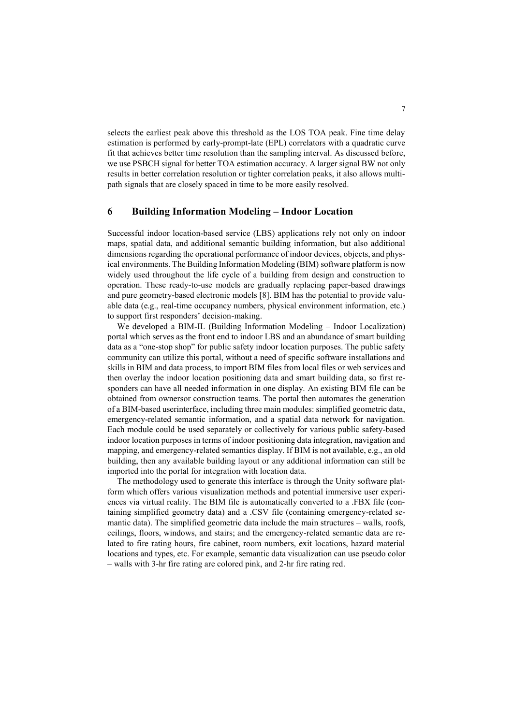selects the earliest peak above this threshold as the LOS TOA peak. Fine time delay estimation is performed by early-prompt-late (EPL) correlators with a quadratic curve fit that achieves better time resolution than the sampling interval. As discussed before, we use PSBCH signal for better TOA estimation accuracy. A larger signal BW not only results in better correlation resolution or tighter correlation peaks, it also allows multipath signals that are closely spaced in time to be more easily resolved.

#### **6 Building Information Modeling – Indoor Location**

Successful indoor location-based service (LBS) applications rely not only on indoor maps, spatial data, and additional semantic building information, but also additional dimensions regarding the operational performance of indoor devices, objects, and physical environments. The Building Information Modeling (BIM) software platform is now widely used throughout the life cycle of a building from design and construction to operation. These ready-to-use models are gradually replacing paper-based drawings and pure geometry-based electronic models [8]. BIM has the potential to provide valuable data (e.g., real-time occupancy numbers, physical environment information, etc.) to support first responders' decision-making.

We developed a BIM-IL (Building Information Modeling – Indoor Localization) portal which serves as the front end to indoor LBS and an abundance of smart building data as a "one-stop shop" for public safety indoor location purposes. The public safety community can utilize this portal, without a need of specific software installations and skills in BIM and data process, to import BIM files from local files or web services and then overlay the indoor location positioning data and smart building data, so first responders can have all needed information in one display. An existing BIM file can be obtained from ownersor construction teams. The portal then automates the generation of a BIM-based userinterface, including three main modules: simplified geometric data, emergency-related semantic information, and a spatial data network for navigation. Each module could be used separately or collectively for various public safety-based indoor location purposes in terms of indoor positioning data integration, navigation and mapping, and emergency-related semantics display. If BIM is not available, e.g., an old building, then any available building layout or any additional information can still be imported into the portal for integration with location data.

The methodology used to generate this interface is through the Unity software platform which offers various visualization methods and potential immersive user experiences via virtual reality. The BIM file is automatically converted to a .FBX file (containing simplified geometry data) and a .CSV file (containing emergency-related semantic data). The simplified geometric data include the main structures – walls, roofs, ceilings, floors, windows, and stairs; and the emergency-related semantic data are related to fire rating hours, fire cabinet, room numbers, exit locations, hazard material locations and types, etc. For example, semantic data visualization can use pseudo color – walls with 3-hr fire rating are colored pink, and 2-hr fire rating red.